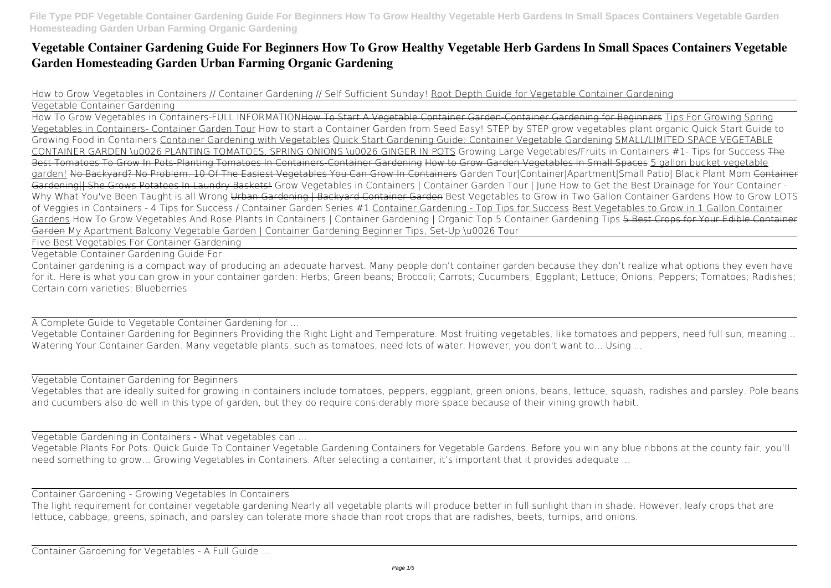## **Vegetable Container Gardening Guide For Beginners How To Grow Healthy Vegetable Herb Gardens In Small Spaces Containers Vegetable Garden Homesteading Garden Urban Farming Organic Gardening**

*How to Grow Vegetables in Containers // Container Gardening // Self Sufficient Sunday!* Root Depth Guide for Vegetable Container Gardening Vegetable Container Gardening

How To Grow Vegetables in Containers-FULL INFORMATION<del>How To Start A Vegetable Container Garden Container Gardening for Beginners</del> Tips For Growing Spring Vegetables in Containers- Container Garden Tour **How to start a Container Garden from Seed Easy! STEP by STEP grow vegetables plant organic** *Quick Start Guide to Growing Food in Containers* Container Gardening with Vegetables Quick Start Gardening Guide: Container Vegetable Gardening SMALL/LIMITED SPACE VEGETABLE CONTAINER GARDEN \u0026 PLANTING TOMATOES, SPRING ONIONS \u0026 GINGER IN POTS Growing Large Vegetables/Fruits in Containers #1- Tips for Success The Best Tomatoes To Grow In Pots-Planting Tomatoes In Containers-Container Gardening How to Grow Garden Vegetables In Small Spaces 5 gallon bucket vegetable garden! No Backyard? No Problem. 10 Of The Easiest Vegetables You Can Grow In Containers Garden Tour|Container|Apartment|Small Patio| Black Plant Mom Container Gardening|| She Grows Potatoes In Laundry Baskets! Grow Vegetables in Containers | Container Garden Tour | June How to Get the Best Drainage for Your Container -Why What You've Been Taught is all Wrong Urban Gardening | Backyard Container Garden Best Vegetables to Grow in Two Gallon Container Gardens How to Grow LOTS *of Veggies in Containers - 4 Tips for Success / Container Garden Series #1* Container Gardening - Top Tips for Success Best Vegetables to Grow in 1 Gallon Container Gardens *How To Grow Vegetables And Rose Plants In Containers | Container Gardening | Organic* Top 5 Container Gardening Tips 5 Best Crops for Your Edible Container Garden *My Apartment Balcony Vegetable Garden | Container Gardening Beginner Tips, Set-Up \u0026 Tour*

Five Best Vegetables For Container Gardening

Vegetable Container Gardening Guide For

Container gardening is a compact way of producing an adequate harvest. Many people don't container garden because they don't realize what options they even have for it. Here is what you can grow in your container garden: Herbs; Green beans; Broccoli; Carrots; Cucumbers; Eggplant; Lettuce; Onions; Peppers; Tomatoes; Radishes; Certain corn varieties; Blueberries

A Complete Guide to Vegetable Container Gardening for ...

Vegetable Container Gardening for Beginners Providing the Right Light and Temperature. Most fruiting vegetables, like tomatoes and peppers, need full sun, meaning... Watering Your Container Garden. Many vegetable plants, such as tomatoes, need lots of water. However, you don't want to... Using ...

Vegetable Container Gardening for Beginners Vegetables that are ideally suited for growing in containers include tomatoes, peppers, eggplant, green onions, beans, lettuce, squash, radishes and parsley. Pole beans and cucumbers also do well in this type of garden, but they do require considerably more space because of their vining growth habit.

Vegetable Gardening in Containers - What vegetables can ...

Vegetable Plants For Pots: Quick Guide To Container Vegetable Gardening Containers for Vegetable Gardens. Before you win any blue ribbons at the county fair, you'll need something to grow... Growing Vegetables in Containers. After selecting a container, it's important that it provides adequate ...

Container Gardening - Growing Vegetables In Containers The light requirement for container vegetable gardening Nearly all vegetable plants will produce better in full sunlight than in shade. However, leafy crops that are lettuce, cabbage, greens, spinach, and parsley can tolerate more shade than root crops that are radishes, beets, turnips, and onions.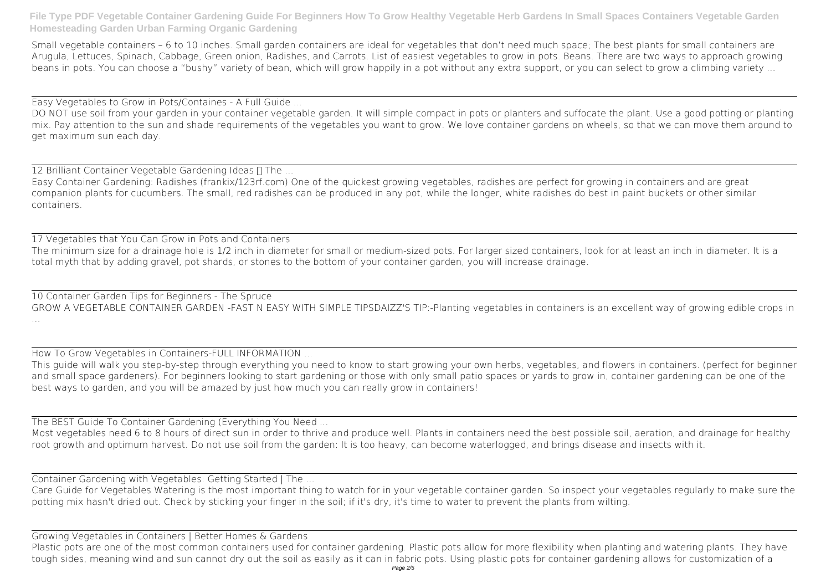Small vegetable containers – 6 to 10 inches. Small garden containers are ideal for vegetables that don't need much space; The best plants for small containers are Arugula, Lettuces, Spinach, Cabbage, Green onion, Radishes, and Carrots. List of easiest vegetables to grow in pots. Beans. There are two ways to approach growing beans in pots. You can choose a "bushy" variety of bean, which will grow happily in a pot without any extra support, or you can select to grow a climbing variety ...

DO NOT use soil from your garden in your container vegetable garden. It will simple compact in pots or planters and suffocate the plant. Use a good potting or planting mix. Pay attention to the sun and shade requirements of the vegetables you want to grow. We love container gardens on wheels, so that we can move them around to get maximum sun each day.

12 Brilliant Container Vegetable Gardening Ideas  $\prod$  The ...

Easy Vegetables to Grow in Pots/Containes - A Full Guide ...

Easy Container Gardening: Radishes (frankix/123rf.com) One of the quickest growing vegetables, radishes are perfect for growing in containers and are great companion plants for cucumbers. The small, red radishes can be produced in any pot, while the longer, white radishes do best in paint buckets or other similar containers.

17 Vegetables that You Can Grow in Pots and Containers The minimum size for a drainage hole is 1/2 inch in diameter for small or medium-sized pots. For larger sized containers, look for at least an inch in diameter. It is a total myth that by adding gravel, pot shards, or stones to the bottom of your container garden, you will increase drainage.

10 Container Garden Tips for Beginners - The Spruce GROW A VEGETABLE CONTAINER GARDEN -FAST N EASY WITH SIMPLE TIPSDAIZZ'S TIP:-Planting vegetables in containers is an excellent way of growing edible crops in ...

How To Grow Vegetables in Containers-FULL INFORMATION ...

This guide will walk you step-by-step through everything you need to know to start growing your own herbs, vegetables, and flowers in containers. (perfect for beginner and small space gardeners). For beginners looking to start gardening or those with only small patio spaces or yards to grow in, container gardening can be one of the best ways to garden, and you will be amazed by just how much you can really grow in containers!

The BEST Guide To Container Gardening (Everything You Need ...

Most vegetables need 6 to 8 hours of direct sun in order to thrive and produce well. Plants in containers need the best possible soil, aeration, and drainage for healthy root growth and optimum harvest. Do not use soil from the garden: It is too heavy, can become waterlogged, and brings disease and insects with it.

Container Gardening with Vegetables: Getting Started | The ...

Care Guide for Vegetables Watering is the most important thing to watch for in your vegetable container garden. So inspect your vegetables regularly to make sure the potting mix hasn't dried out. Check by sticking your finger in the soil; if it's dry, it's time to water to prevent the plants from wilting.

Growing Vegetables in Containers | Better Homes & Gardens Plastic pots are one of the most common containers used for container gardening. Plastic pots allow for more flexibility when planting and watering plants. They have tough sides, meaning wind and sun cannot dry out the soil as easily as it can in fabric pots. Using plastic pots for container gardening allows for customization of a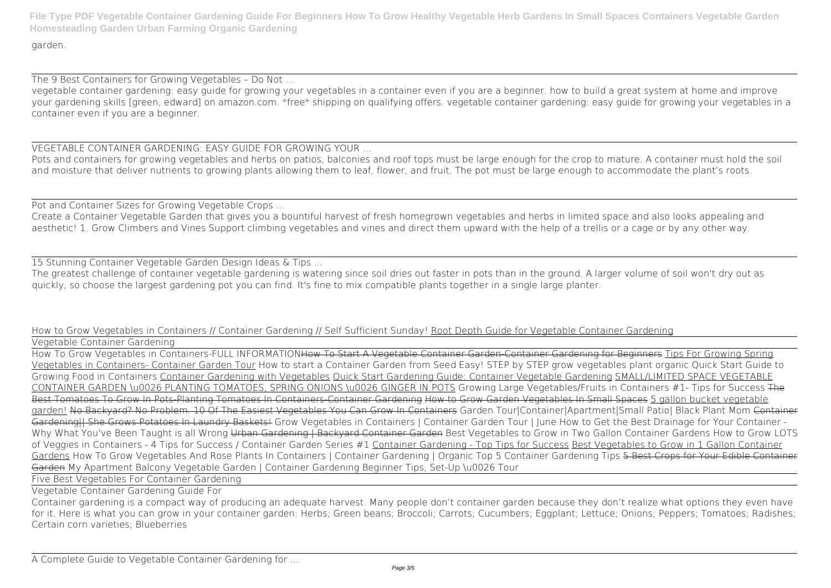garden.

The 9 Best Containers for Growing Vegetables – Do Not ...

vegetable container gardening: easy guide for growing your vegetables in a container even if you are a beginner. how to build a great system at home and improve your gardening skills [green, edward] on amazon.com. \*free\* shipping on qualifying offers. vegetable container gardening: easy guide for growing your vegetables in a container even if you are a beginner.

Create a Container Vegetable Garden that gives you a bountiful harvest of fresh homegrown vegetables and herbs in limited space and also looks appealing and aesthetic! 1. Grow Climbers and Vines Support climbing vegetables and vines and direct them upward with the help of a trellis or a cage or by any other way.

VEGETABLE CONTAINER GARDENING: EASY GUIDE FOR GROWING YOUR ... Pots and containers for growing vegetables and herbs on patios, balconies and roof tops must be large enough for the crop to mature. A container must hold the soil and moisture that deliver nutrients to growing plants allowing them to leaf, flower, and fruit. The pot must be large enough to accommodate the plant's roots.

Pot and Container Sizes for Growing Vegetable Crops ...

15 Stunning Container Vegetable Garden Design Ideas & Tips ...

The greatest challenge of container vegetable gardening is watering since soil dries out faster in pots than in the ground. A larger volume of soil won't dry out as quickly, so choose the largest gardening pot you can find. It's fine to mix compatible plants together in a single large planter.

How To Grow Vegetables in Containers-FULL INFORMATION<del>How To Start A Vegetable Container Garden Container Gardening for Beginners</del> Tips For Growing Spring Vegetables in Containers- Container Garden Tour **How to start a Container Garden from Seed Easy! STEP by STEP grow vegetables plant organic** *Quick Start Guide to Growing Food in Containers* Container Gardening with Vegetables Quick Start Gardening Guide: Container Vegetable Gardening SMALL/LIMITED SPACE VEGETABLE CONTAINER GARDEN \u0026 PLANTING TOMATOES, SPRING ONIONS \u0026 GINGER IN POTS Growing Large Vegetables/Fruits in Containers #1- Tips for Success The Best Tomatoes To Grow In Pots-Planting Tomatoes In Containers-Container Gardening How to Grow Garden Vegetables In Small Spaces 5 gallon bucket vegetable garden! No Backyard? No Problem. 10 Of The Easiest Vegetables You Can Grow In Containers **Garden Tour|Container|Apartment|Small Patio| Black Plant Mom** Container Gardening|| She Grows Potatoes In Laundry Baskets! *Grow Vegetables in Containers | Container Garden Tour | June* How to Get the Best Drainage for Your Container - Why What You've Been Taught is all Wrong Urban Gardening | Backyard Container Garden Best Vegetables to Grow in Two Gallon Container Gardens How to Grow LOTS *of Veggies in Containers - 4 Tips for Success / Container Garden Series #1* Container Gardening - Top Tips for Success Best Vegetables to Grow in 1 Gallon Container Gardens How To Grow Vegetables And Rose Plants In Containers | Container Gardening | Organic Top 5 Container Gardening Tips 5 Best Crops for Your Edible Container Garden *My Apartment Balcony Vegetable Garden | Container Gardening Beginner Tips, Set-Up \u0026 Tour*

*How to Grow Vegetables in Containers // Container Gardening // Self Sufficient Sunday!* Root Depth Guide for Vegetable Container Gardening Vegetable Container Gardening

Five Best Vegetables For Container Gardening

Vegetable Container Gardening Guide For

Container gardening is a compact way of producing an adequate harvest. Many people don't container garden because they don't realize what options they even have for it. Here is what you can grow in your container garden: Herbs; Green beans; Broccoli; Carrots; Cucumbers; Eggplant; Lettuce; Onions; Peppers; Tomatoes; Radishes; Certain corn varieties; Blueberries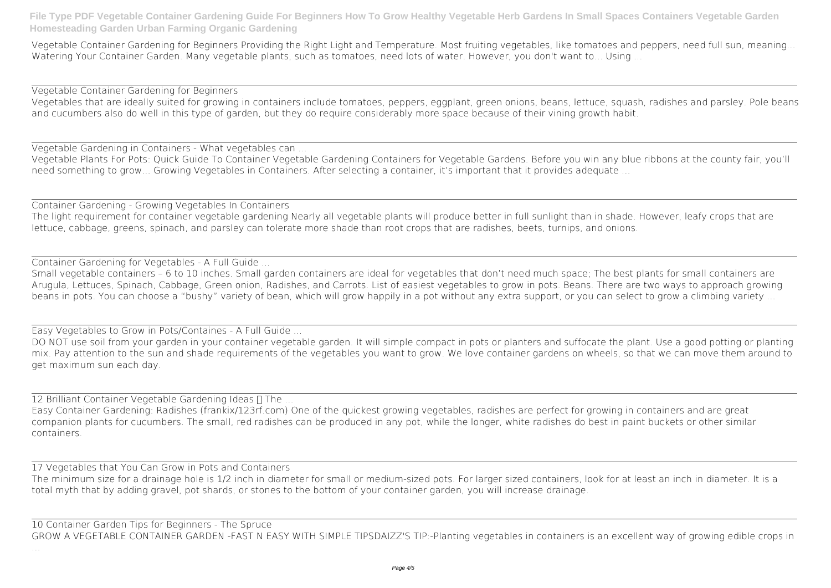Vegetable Container Gardening for Beginners Providing the Right Light and Temperature. Most fruiting vegetables, like tomatoes and peppers, need full sun, meaning... Watering Your Container Garden. Many vegetable plants, such as tomatoes, need lots of water. However, you don't want to... Using ...

Vegetable Container Gardening for Beginners

Vegetables that are ideally suited for growing in containers include tomatoes, peppers, eggplant, green onions, beans, lettuce, squash, radishes and parsley. Pole beans and cucumbers also do well in this type of garden, but they do require considerably more space because of their vining growth habit.

Small vegetable containers – 6 to 10 inches. Small garden containers are ideal for vegetables that don't need much space; The best plants for small containers are Arugula, Lettuces, Spinach, Cabbage, Green onion, Radishes, and Carrots. List of easiest vegetables to grow in pots. Beans. There are two ways to approach growing beans in pots. You can choose a "bushy" variety of bean, which will grow happily in a pot without any extra support, or you can select to grow a climbing variety ...

Vegetable Gardening in Containers - What vegetables can ...

Vegetable Plants For Pots: Quick Guide To Container Vegetable Gardening Containers for Vegetable Gardens. Before you win any blue ribbons at the county fair, you'll need something to grow... Growing Vegetables in Containers. After selecting a container, it's important that it provides adequate ...

DO NOT use soil from your garden in your container vegetable garden. It will simple compact in pots or planters and suffocate the plant. Use a good potting or planting mix. Pay attention to the sun and shade requirements of the vegetables you want to grow. We love container gardens on wheels, so that we can move them around to get maximum sun each day.

12 Brilliant Container Vegetable Gardening Ideas  $\prod$  The ...

Container Gardening - Growing Vegetables In Containers The light requirement for container vegetable gardening Nearly all vegetable plants will produce better in full sunlight than in shade. However, leafy crops that are lettuce, cabbage, greens, spinach, and parsley can tolerate more shade than root crops that are radishes, beets, turnips, and onions.

Container Gardening for Vegetables - A Full Guide ...

Easy Vegetables to Grow in Pots/Containes - A Full Guide ...

Easy Container Gardening: Radishes (frankix/123rf.com) One of the quickest growing vegetables, radishes are perfect for growing in containers and are great companion plants for cucumbers. The small, red radishes can be produced in any pot, while the longer, white radishes do best in paint buckets or other similar containers.

17 Vegetables that You Can Grow in Pots and Containers The minimum size for a drainage hole is 1/2 inch in diameter for small or medium-sized pots. For larger sized containers, look for at least an inch in diameter. It is a total myth that by adding gravel, pot shards, or stones to the bottom of your container garden, you will increase drainage.

10 Container Garden Tips for Beginners - The Spruce GROW A VEGETABLE CONTAINER GARDEN -FAST N EASY WITH SIMPLE TIPSDAIZZ'S TIP:-Planting vegetables in containers is an excellent way of growing edible crops in

...